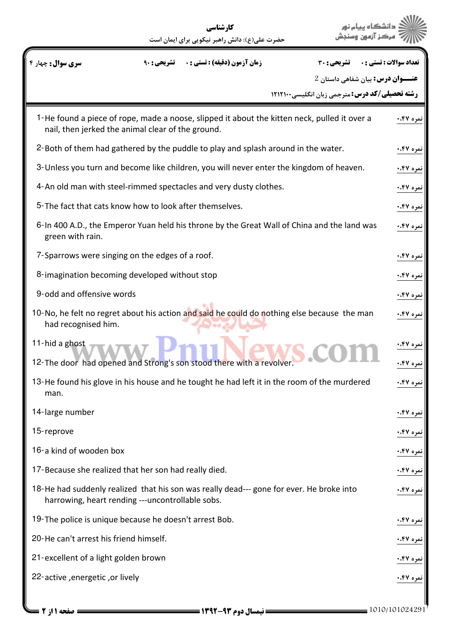|                                                                                                                                                   | کارشناسی<br>حضرت علی(ع): دانش راهبر نیکویی برای ایمان است |                                                        | دانشگاه سام ز<br>مركز آزمون              |
|---------------------------------------------------------------------------------------------------------------------------------------------------|-----------------------------------------------------------|--------------------------------------------------------|------------------------------------------|
| <b>سری سوال :</b> چهار ۴                                                                                                                          | <b>زمان آزمون (دقیقه) : تستی : .</b>                      | <b>تشریحی : 30</b>                                     | تعداد سوالات : تستى : .                  |
|                                                                                                                                                   |                                                           |                                                        | <b>عنـــوان درس:</b> بیان شفاهی داستان 2 |
|                                                                                                                                                   |                                                           | <b>رشته تحصیلی/کد درس: مترجمی زبان انگلیسی۲۱۲۱۰۰ (</b> |                                          |
| 1-He found a piece of rope, made a noose, slipped it about the kitten neck, pulled it over a<br>nail, then jerked the animal clear of the ground. |                                                           |                                                        | نمره ۴۷.                                 |
| 2-Both of them had gathered by the puddle to play and splash around in the water.                                                                 |                                                           |                                                        | نمره ۴۷.۰                                |
| 3-Unless you turn and become like children, you will never enter the kingdom of heaven.                                                           |                                                           |                                                        | نمره ۴۷۰.۰                               |
| 4-An old man with steel-rimmed spectacles and very dusty clothes.                                                                                 |                                                           |                                                        | نمره ۴۷.۰                                |
| 5-The fact that cats know how to look after themselves.                                                                                           |                                                           |                                                        | نمره ۴۷.۰                                |
| 6-In 400 A.D., the Emperor Yuan held his throne by the Great Wall of China and the land was<br>green with rain.                                   |                                                           |                                                        | نمره ۴۷.۰                                |
| 7-Sparrows were singing on the edges of a roof.                                                                                                   |                                                           |                                                        | نمره ۴۷۰.                                |
| 8-imagination becoming developed without stop                                                                                                     |                                                           |                                                        | نمره ۴۷۰.                                |
| 9-odd and offensive words                                                                                                                         |                                                           |                                                        | نمره ۴۷۰.                                |
| 10-No, he felt no regret about his action and said he could do nothing else because the man<br>had recognised him.                                |                                                           |                                                        | نمره ۴۷.۰                                |
| 11-hid a ghost<br>12-The door had opened and Strong's son stood there with a revolver.                                                            |                                                           |                                                        | نمره ۴۷.۰<br>نمره ۴۷.۰                   |
| 13-He found his glove in his house and he tought he had left it in the room of the murdered<br>man.                                               |                                                           |                                                        | مره ۴۷۰.                                 |
| 14-large number                                                                                                                                   |                                                           |                                                        | نمره ۴۷۰.                                |
| 15-reprove                                                                                                                                        |                                                           |                                                        | مره ۴۷۰.                                 |
| 16-a kind of wooden box                                                                                                                           |                                                           |                                                        | مره ۴۷۰.                                 |
| 17-Because she realized that her son had really died.                                                                                             |                                                           |                                                        | مره ۴۷۰.                                 |
| 18-He had suddenly realized that his son was really dead--- gone for ever. He broke into<br>harrowing, heart rending ---uncontrollable sobs.      |                                                           |                                                        | نمره ۴۷۰.                                |
| 19-The police is unique because he doesn't arrest Bob.                                                                                            |                                                           |                                                        | نمره ۴۷۰.                                |
| 20-He can't arrest his friend himself.                                                                                                            |                                                           |                                                        | نمره ۴۷.۰                                |
| 21-excellent of a light golden brown                                                                                                              |                                                           |                                                        | مره ۴۷.۰                                 |
| 22-active, energetic, or lively                                                                                                                   |                                                           |                                                        | مره ۴۷۰.                                 |
|                                                                                                                                                   |                                                           |                                                        |                                          |